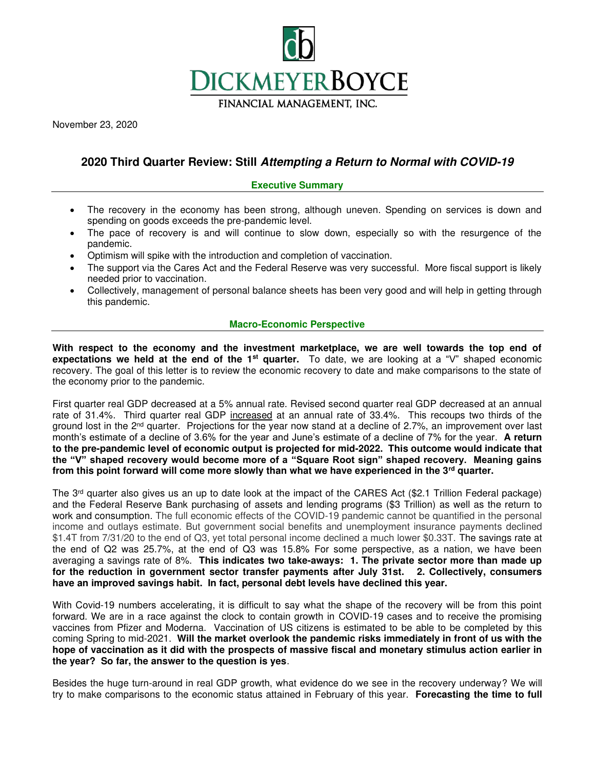

November 23, 2020

# **2020 Third Quarter Review: Still Attempting a Return to Normal with COVID-19**

### **Executive Summary**

- The recovery in the economy has been strong, although uneven. Spending on services is down and spending on goods exceeds the pre-pandemic level.
- The pace of recovery is and will continue to slow down, especially so with the resurgence of the pandemic.
- Optimism will spike with the introduction and completion of vaccination.
- The support via the Cares Act and the Federal Reserve was very successful. More fiscal support is likely needed prior to vaccination.
- Collectively, management of personal balance sheets has been very good and will help in getting through this pandemic.

## **Macro-Economic Perspective**

**With respect to the economy and the investment marketplace, we are well towards the top end of expectations we held at the end of the 1st quarter.** To date, we are looking at a "V" shaped economic recovery. The goal of this letter is to review the economic recovery to date and make comparisons to the state of the economy prior to the pandemic.

First quarter real GDP decreased at a 5% annual rate. Revised second quarter real GDP decreased at an annual rate of 31.4%. Third quarter real GDP increased at an annual rate of 33.4%. This recoups two thirds of the ground lost in the  $2<sup>nd</sup>$  quarter. Projections for the year now stand at a decline of 2.7%, an improvement over last month's estimate of a decline of 3.6% for the year and June's estimate of a decline of 7% for the year. **A return to the pre-pandemic level of economic output is projected for mid-2022. This outcome would indicate that the "V" shaped recovery would become more of a "Square Root sign" shaped recovery. Meaning gains from this point forward will come more slowly than what we have experienced in the 3rd quarter.**

The 3<sup>rd</sup> quarter also gives us an up to date look at the impact of the CARES Act (\$2.1 Trillion Federal package) and the Federal Reserve Bank purchasing of assets and lending programs (\$3 Trillion) as well as the return to work and consumption. The full economic effects of the COVID-19 pandemic cannot be quantified in the personal income and outlays estimate. But government social benefits and unemployment insurance payments declined \$1.4T from 7/31/20 to the end of Q3, yet total personal income declined a much lower \$0.33T. The savings rate at the end of Q2 was 25.7%, at the end of Q3 was 15.8% For some perspective, as a nation, we have been averaging a savings rate of 8%. **This indicates two take-aways: 1. The private sector more than made up for the reduction in government sector transfer payments after July 31st. 2. Collectively, consumers have an improved savings habit. In fact, personal debt levels have declined this year.**

With Covid-19 numbers accelerating, it is difficult to say what the shape of the recovery will be from this point forward. We are in a race against the clock to contain growth in COVID-19 cases and to receive the promising vaccines from Pfizer and Moderna. Vaccination of US citizens is estimated to be able to be completed by this coming Spring to mid-2021. **Will the market overlook the pandemic risks immediately in front of us with the hope of vaccination as it did with the prospects of massive fiscal and monetary stimulus action earlier in the year? So far, the answer to the question is yes**.

Besides the huge turn-around in real GDP growth, what evidence do we see in the recovery underway? We will try to make comparisons to the economic status attained in February of this year. **Forecasting the time to full**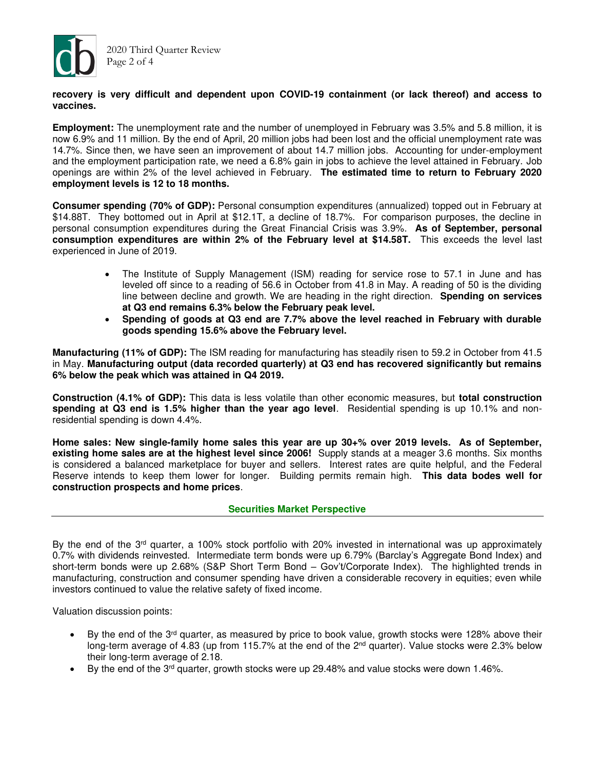

### **recovery is very difficult and dependent upon COVID-19 containment (or lack thereof) and access to vaccines.**

**Employment:** The unemployment rate and the number of unemployed in February was 3.5% and 5.8 million, it is now 6.9% and 11 million. By the end of April, 20 million jobs had been lost and the official unemployment rate was 14.7%. Since then, we have seen an improvement of about 14.7 million jobs. Accounting for under-employment and the employment participation rate, we need a 6.8% gain in jobs to achieve the level attained in February. Job openings are within 2% of the level achieved in February. **The estimated time to return to February 2020 employment levels is 12 to 18 months.**

**Consumer spending (70% of GDP):** Personal consumption expenditures (annualized) topped out in February at \$14.88T. They bottomed out in April at \$12.1T, a decline of 18.7%. For comparison purposes, the decline in personal consumption expenditures during the Great Financial Crisis was 3.9%. **As of September, personal consumption expenditures are within 2% of the February level at \$14.58T.** This exceeds the level last experienced in June of 2019.

- The Institute of Supply Management (ISM) reading for service rose to 57.1 in June and has leveled off since to a reading of 56.6 in October from 41.8 in May. A reading of 50 is the dividing line between decline and growth. We are heading in the right direction. **Spending on services at Q3 end remains 6.3% below the February peak level.**
- **Spending of goods at Q3 end are 7.7% above the level reached in February with durable goods spending 15.6% above the February level.**

**Manufacturing (11% of GDP):** The ISM reading for manufacturing has steadily risen to 59.2 in October from 41.5 in May. **Manufacturing output (data recorded quarterly) at Q3 end has recovered significantly but remains 6% below the peak which was attained in Q4 2019.**

**Construction (4.1% of GDP):** This data is less volatile than other economic measures, but **total construction spending at Q3 end is 1.5% higher than the year ago level**. Residential spending is up 10.1% and nonresidential spending is down 4.4%.

**Home sales: New single-family home sales this year are up 30+% over 2019 levels. As of September, existing home sales are at the highest level since 2006!** Supply stands at a meager 3.6 months. Six months is considered a balanced marketplace for buyer and sellers. Interest rates are quite helpful, and the Federal Reserve intends to keep them lower for longer. Building permits remain high. **This data bodes well for construction prospects and home prices**.

# **Securities Market Perspective**

By the end of the 3rd quarter, a 100% stock portfolio with 20% invested in international was up approximately 0.7% with dividends reinvested. Intermediate term bonds were up 6.79% (Barclay's Aggregate Bond Index) and short-term bonds were up 2.68% (S&P Short Term Bond – Gov't/Corporate Index). The highlighted trends in manufacturing, construction and consumer spending have driven a considerable recovery in equities; even while investors continued to value the relative safety of fixed income.

Valuation discussion points:

- By the end of the  $3<sup>rd</sup>$  quarter, as measured by price to book value, growth stocks were 128% above their long-term average of 4.83 (up from 115.7% at the end of the  $2<sup>nd</sup>$  quarter). Value stocks were 2.3% below their long-term average of 2.18.
- By the end of the 3<sup>rd</sup> quarter, growth stocks were up 29.48% and value stocks were down 1.46%.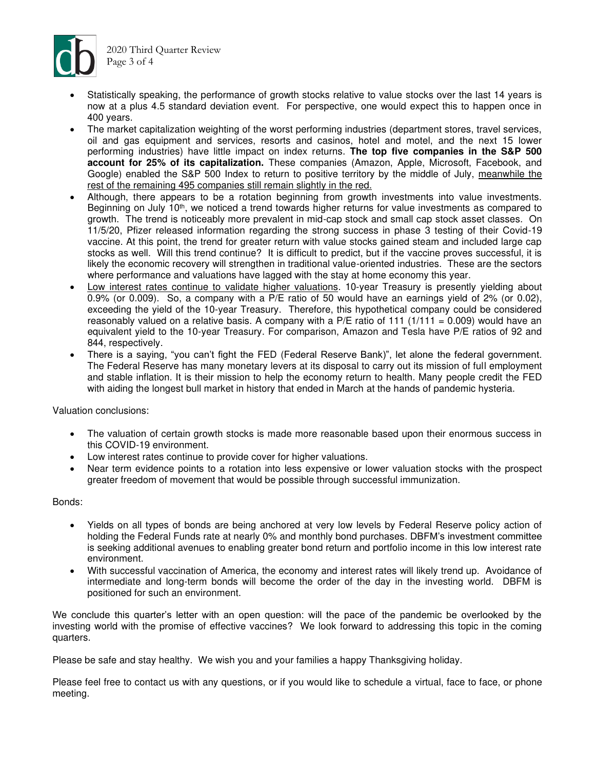

2020 Third Quarter Review Page 3 of 4

- Statistically speaking, the performance of growth stocks relative to value stocks over the last 14 years is now at a plus 4.5 standard deviation event. For perspective, one would expect this to happen once in 400 years.
- The market capitalization weighting of the worst performing industries (department stores, travel services, oil and gas equipment and services, resorts and casinos, hotel and motel, and the next 15 lower performing industries) have little impact on index returns. **The top five companies in the S&P 500 account for 25% of its capitalization.** These companies (Amazon, Apple, Microsoft, Facebook, and Google) enabled the S&P 500 Index to return to positive territory by the middle of July, meanwhile the rest of the remaining 495 companies still remain slightly in the red.
- Although, there appears to be a rotation beginning from growth investments into value investments. Beginning on July 10<sup>th</sup>, we noticed a trend towards higher returns for value investments as compared to growth. The trend is noticeably more prevalent in mid-cap stock and small cap stock asset classes. On 11/5/20, Pfizer released information regarding the strong success in phase 3 testing of their Covid-19 vaccine. At this point, the trend for greater return with value stocks gained steam and included large cap stocks as well. Will this trend continue? It is difficult to predict, but if the vaccine proves successful, it is likely the economic recovery will strengthen in traditional value-oriented industries. These are the sectors where performance and valuations have lagged with the stay at home economy this year.
- Low interest rates continue to validate higher valuations. 10-year Treasury is presently yielding about 0.9% (or 0.009). So, a company with a P/E ratio of 50 would have an earnings yield of 2% (or 0.02), exceeding the yield of the 10-year Treasury. Therefore, this hypothetical company could be considered reasonably valued on a relative basis. A company with a P/E ratio of 111 (1/111 = 0.009) would have an equivalent yield to the 10-year Treasury. For comparison, Amazon and Tesla have P/E ratios of 92 and 844, respectively.
- There is a saying, "you can't fight the FED (Federal Reserve Bank)", let alone the federal government. The Federal Reserve has many monetary levers at its disposal to carry out its mission of full employment and stable inflation. It is their mission to help the economy return to health. Many people credit the FED with aiding the longest bull market in history that ended in March at the hands of pandemic hysteria.

Valuation conclusions:

- The valuation of certain growth stocks is made more reasonable based upon their enormous success in this COVID-19 environment.
- Low interest rates continue to provide cover for higher valuations.
- Near term evidence points to a rotation into less expensive or lower valuation stocks with the prospect greater freedom of movement that would be possible through successful immunization.

Bonds:

- Yields on all types of bonds are being anchored at very low levels by Federal Reserve policy action of holding the Federal Funds rate at nearly 0% and monthly bond purchases. DBFM's investment committee is seeking additional avenues to enabling greater bond return and portfolio income in this low interest rate environment.
- With successful vaccination of America, the economy and interest rates will likely trend up. Avoidance of intermediate and long-term bonds will become the order of the day in the investing world. DBFM is positioned for such an environment.

We conclude this quarter's letter with an open question: will the pace of the pandemic be overlooked by the investing world with the promise of effective vaccines? We look forward to addressing this topic in the coming quarters.

Please be safe and stay healthy. We wish you and your families a happy Thanksgiving holiday.

Please feel free to contact us with any questions, or if you would like to schedule a virtual, face to face, or phone meeting.